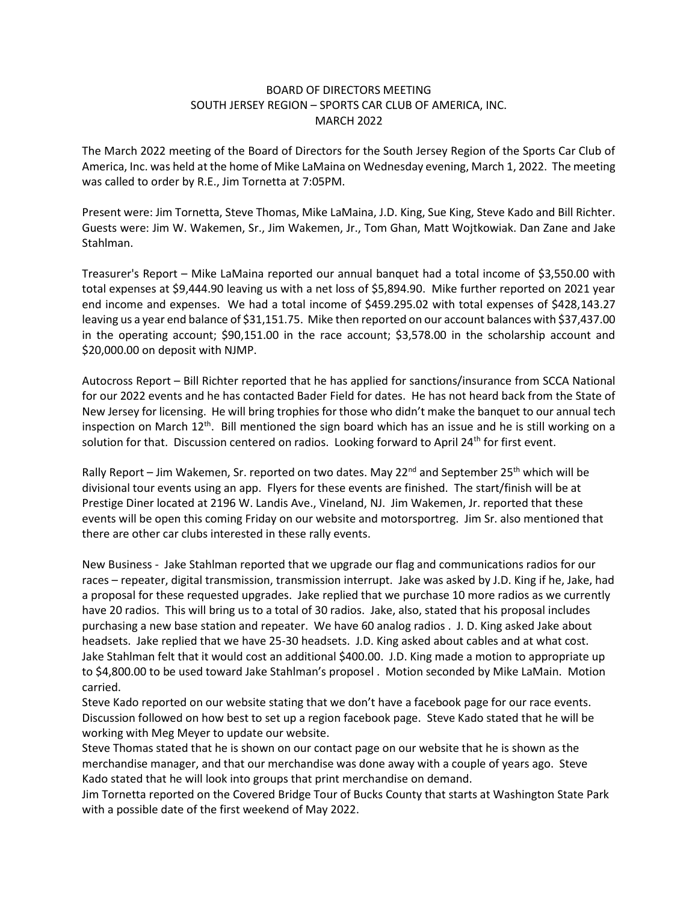## BOARD OF DIRECTORS MEETING SOUTH JERSEY REGION – SPORTS CAR CLUB OF AMERICA, INC. MARCH 2022

The March 2022 meeting of the Board of Directors for the South Jersey Region of the Sports Car Club of America, Inc. was held at the home of Mike LaMaina on Wednesday evening, March 1, 2022. The meeting was called to order by R.E., Jim Tornetta at 7:05PM.

Present were: Jim Tornetta, Steve Thomas, Mike LaMaina, J.D. King, Sue King, Steve Kado and Bill Richter. Guests were: Jim W. Wakemen, Sr., Jim Wakemen, Jr., Tom Ghan, Matt Wojtkowiak. Dan Zane and Jake Stahlman.

Treasurer's Report – Mike LaMaina reported our annual banquet had a total income of \$3,550.00 with total expenses at \$9,444.90 leaving us with a net loss of \$5,894.90. Mike further reported on 2021 year end income and expenses. We had a total income of \$459.295.02 with total expenses of \$428,143.27 leaving us a year end balance of \$31,151.75. Mike then reported on our account balances with \$37,437.00 in the operating account; \$90,151.00 in the race account; \$3,578.00 in the scholarship account and \$20,000.00 on deposit with NJMP.

Autocross Report – Bill Richter reported that he has applied for sanctions/insurance from SCCA National for our 2022 events and he has contacted Bader Field for dates. He has not heard back from the State of New Jersey for licensing. He will bring trophies for those who didn't make the banquet to our annual tech inspection on March  $12<sup>th</sup>$ . Bill mentioned the sign board which has an issue and he is still working on a solution for that. Discussion centered on radios. Looking forward to April 24<sup>th</sup> for first event.

Rally Report – Jim Wakemen, Sr. reported on two dates. May 22<sup>nd</sup> and September 25<sup>th</sup> which will be divisional tour events using an app. Flyers for these events are finished. The start/finish will be at Prestige Diner located at 2196 W. Landis Ave., Vineland, NJ. Jim Wakemen, Jr. reported that these events will be open this coming Friday on our website and motorsportreg. Jim Sr. also mentioned that there are other car clubs interested in these rally events.

New Business - Jake Stahlman reported that we upgrade our flag and communications radios for our races – repeater, digital transmission, transmission interrupt. Jake was asked by J.D. King if he, Jake, had a proposal for these requested upgrades. Jake replied that we purchase 10 more radios as we currently have 20 radios. This will bring us to a total of 30 radios. Jake, also, stated that his proposal includes purchasing a new base station and repeater. We have 60 analog radios . J. D. King asked Jake about headsets. Jake replied that we have 25-30 headsets. J.D. King asked about cables and at what cost. Jake Stahlman felt that it would cost an additional \$400.00. J.D. King made a motion to appropriate up to \$4,800.00 to be used toward Jake Stahlman's proposel . Motion seconded by Mike LaMain. Motion carried.

Steve Kado reported on our website stating that we don't have a facebook page for our race events. Discussion followed on how best to set up a region facebook page. Steve Kado stated that he will be working with Meg Meyer to update our website.

Steve Thomas stated that he is shown on our contact page on our website that he is shown as the merchandise manager, and that our merchandise was done away with a couple of years ago. Steve Kado stated that he will look into groups that print merchandise on demand.

Jim Tornetta reported on the Covered Bridge Tour of Bucks County that starts at Washington State Park with a possible date of the first weekend of May 2022.